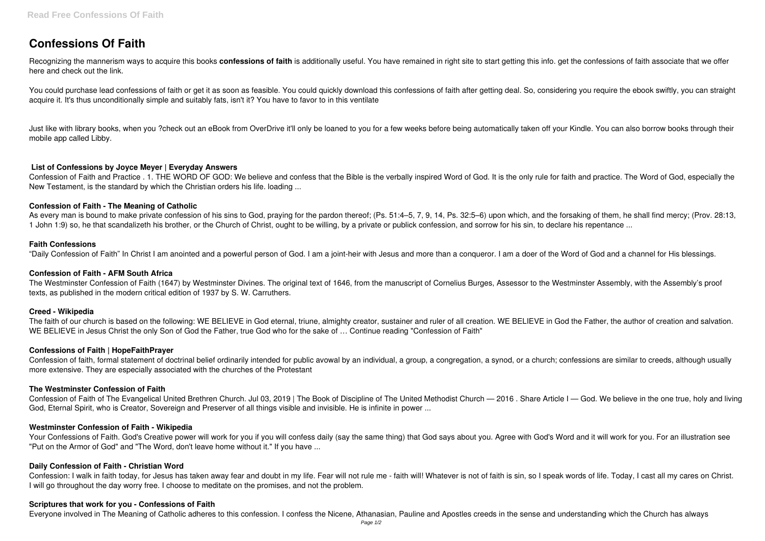# **Confessions Of Faith**

Recognizing the mannerism ways to acquire this books **confessions of faith** is additionally useful. You have remained in right site to start getting this info. get the confessions of faith associate that we offer here and check out the link.

You could purchase lead confessions of faith or get it as soon as feasible. You could quickly download this confessions of faith after getting deal. So, considering you require the ebook swiftly, you can straight acquire it. It's thus unconditionally simple and suitably fats, isn't it? You have to favor to in this ventilate

Just like with library books, when you ?check out an eBook from OverDrive it'll only be loaned to you for a few weeks before being automatically taken off your Kindle. You can also borrow books through their mobile app called Libby.

# **List of Confessions by Joyce Meyer | Everyday Answers**

Confession of Faith and Practice . 1. THE WORD OF GOD: We believe and confess that the Bible is the verbally inspired Word of God. It is the only rule for faith and practice. The Word of God, especially the New Testament, is the standard by which the Christian orders his life. loading ...

## **Confession of Faith - The Meaning of Catholic**

The faith of our church is based on the following: WE BELIEVE in God eternal, triune, almighty creator, sustainer and ruler of all creation. WE BELIEVE in God the Father, the author of creation and salvation. WE BELIEVE in Jesus Christ the only Son of God the Father, true God who for the sake of … Continue reading "Confession of Faith"

As every man is bound to make private confession of his sins to God, praying for the pardon thereof; (Ps. 51:4–5, 7, 9, 14, Ps. 32:5–6) upon which, and the forsaking of them, he shall find mercy; (Prov. 28:13, 1 John 1:9) so, he that scandalizeth his brother, or the Church of Christ, ought to be willing, by a private or publick confession, and sorrow for his sin, to declare his repentance ...

Confession of Faith of The Evangelical United Brethren Church. Jul 03, 2019 | The Book of Discipline of The United Methodist Church — 2016. Share Article I — God. We believe in the one true, holy and living God, Eternal Spirit, who is Creator, Sovereign and Preserver of all things visible and invisible. He is infinite in power ...

## **Faith Confessions**

"Daily Confession of Faith" In Christ I am anointed and a powerful person of God. I am a joint-heir with Jesus and more than a conqueror. I am a doer of the Word of God and a channel for His blessings.

Your Confessions of Faith. God's Creative power will work for you if you will confess daily (say the same thing) that God says about you. Agree with God's Word and it will work for you. For an illustration see "Put on the Armor of God" and "The Word, don't leave home without it." If you have ...

# **Confession of Faith - AFM South Africa**

The Westminster Confession of Faith (1647) by Westminster Divines. The original text of 1646, from the manuscript of Cornelius Burges, Assessor to the Westminster Assembly, with the Assembly's proof texts, as published in the modern critical edition of 1937 by S. W. Carruthers.

# **Creed - Wikipedia**

#### **Confessions of Faith | HopeFaithPrayer**

Confession of faith, formal statement of doctrinal belief ordinarily intended for public avowal by an individual, a group, a congregation, a synod, or a church; confessions are similar to creeds, although usually more extensive. They are especially associated with the churches of the Protestant

#### **The Westminster Confession of Faith**

# **Westminster Confession of Faith - Wikipedia**

#### **Daily Confession of Faith - Christian Word**

Confession: I walk in faith today, for Jesus has taken away fear and doubt in my life. Fear will not rule me - faith will! Whatever is not of faith is sin, so I speak words of life. Today, I cast all my cares on Christ. I will go throughout the day worry free. I choose to meditate on the promises, and not the problem.

#### **Scriptures that work for you - Confessions of Faith**

Everyone involved in The Meaning of Catholic adheres to this confession. I confess the Nicene, Athanasian, Pauline and Apostles creeds in the sense and understanding which the Church has always